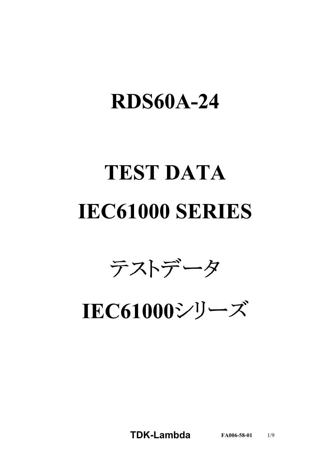## **RDS60A-24**

# **TEST DATA IEC61000 SERIES**



**IEC61000シリーズ** 

**TDKLambda FA0065801** 1/9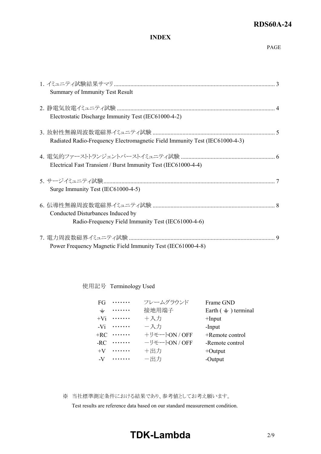#### **RDS60A-24**

#### **INDEX**

| Summary of Immunity Test Result                                                         |    |
|-----------------------------------------------------------------------------------------|----|
| Electrostatic Discharge Immunity Test (IEC61000-4-2)                                    |    |
| Radiated Radio-Frequency Electromagnetic Field Immunity Test (IEC61000-4-3)             |    |
| Electrical Fast Transient / Burst Immunity Test (IEC61000-4-4)                          |    |
| Surge Immunity Test (IEC61000-4-5)                                                      |    |
| Conducted Disturbances Induced by<br>Radio-Frequency Field Immunity Test (IEC61000-4-6) |    |
| Power Frequency Magnetic Field Immunity Test (IEC61000-4-8)                             | -9 |

使用記号 Terminology Used

| FG. | .                    | フレームグラウンド     | Frame GND                  |
|-----|----------------------|---------------|----------------------------|
| ᆂ   | .                    | 接地用端子         | Earth $($ $=$ $)$ terminal |
|     | $+V_1 \cdots \cdots$ | +入力           | $+$ Input                  |
|     | $-V_1$               | 一入力           | -Input                     |
|     | $+RC$                | +リモートON / OFF | +Remote control            |
|     | $-RC$                | ーリモートON / OFF | -Remote control            |
|     | $+V$                 | +出力           | $+$ Output                 |
|     | $-V \cdots \cdots$   | 一出力           | -Output                    |

※ 当社標準測定条件における結果であり、参考値としてお考え願います。

Test results are reference data based on our standard measurement condition.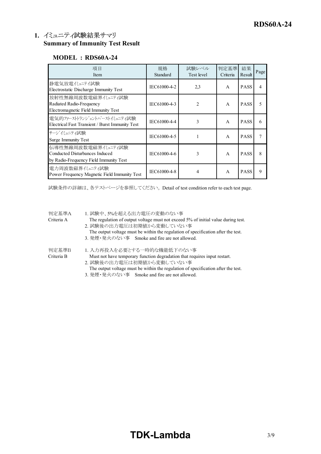#### **1. Summary of Immunity Test Result**

#### **MODEL : RDS60A-24**

| 項目<br>Item                                                                                      | 規格<br>Standard | 試験レベル<br>Test level | 判定基準<br>Criteria | 結果<br>Result | Page                     |
|-------------------------------------------------------------------------------------------------|----------------|---------------------|------------------|--------------|--------------------------|
| 静電気放電バュニテイ試験<br>Electrostatic Discharge Immunity Test                                           | IEC61000-4-2   | 2,3                 | $\mathsf{A}$     | <b>PASS</b>  | $\overline{\mathcal{A}}$ |
| 放射性無線周波数電磁界イミュニティ試験<br>Radiated Radio-Frequency<br>Electromagnetic Field Immunity Test          | IEC61000-4-3   | $\mathfrak{D}$      | $\mathsf{A}$     | <b>PASS</b>  | 5                        |
| 電気的ファーストランジェントバーストイミュニティ試験<br>Electrical Fast Transient / Burst Immunity Test                   | IEC61000-4-4   | 3                   | $\mathsf{A}$     | <b>PASS</b>  | 6                        |
| サージイミュニティ試験<br>Surge Immunity Test                                                              | IEC61000-4-5   |                     | $\mathsf{A}$     | <b>PASS</b>  |                          |
| 伝導性無線周波数電磁界イミュニティ試験<br>Conducted Disturbances Induced<br>by Radio-Frequency Field Immunity Test | IEC61000-4-6   | 3                   | $\mathsf{A}$     | <b>PASS</b>  | 8                        |
| 電力周波数磁界イミュニティ試験<br>Power Frequency Magnetic Field Immunity Test                                 | IEC61000-4-8   | 4                   | $\mathsf{A}$     | <b>PASS</b>  | $\mathbf Q$              |

試験条件の詳細は、各テストページを参照してください。 Detail of test condition refer to each test page.

| 判定基準A      | 1. 試験中、5%を超える出力電圧の変動のない事                                                                                       |
|------------|----------------------------------------------------------------------------------------------------------------|
| Criteria A | The regulation of output voltage must not exceed 5% of initial value during test.<br>2. 試験後の出力電圧は初期値から変動していない事 |
|            | The output voltage must be within the regulation of specification after the test.                              |
|            | 3. 発煙・発火のない事 Smoke and fire are not allowed.                                                                   |
| 判定基準B      | 1. 入力再投入を必要とする一時的な機能低下のない事                                                                                     |
| Criteria B | Must not have temporary function degradation that requires input restart.                                      |
|            | 2. 試験後の出力電圧は初期値から変動していない事                                                                                      |
|            | The output voltage must be within the regulation of specification after the test.                              |
|            | 3. 発煙・発火のない事 Smoke and fire are not allowed.                                                                   |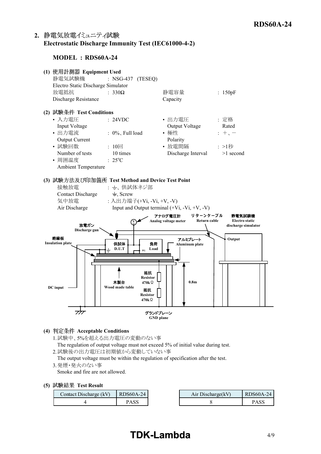#### 2. 静電気放電イミュニティ試験 **Electrostatic Discharge Immunity Test (IEC6100042)**

#### **MODEL : RDS60A-24**



**(4) Acceptable Conditions**

1.試験中、5%を超える出力電圧の変動のない事

The regulation of output voltage must not exceed 5% of initial value during test.

2.試験後の出力電圧は初期値から変動していない事

The output voltage must be within the regulation of specification after the test.

3.発煙・発火のない事

Smoke and fire are not allowed.

|  |  | (5) 試験結果 Test Result |
|--|--|----------------------|
|--|--|----------------------|

| Contact Discharge (kV) | RDS60A-24   | Air Discharge (kV) | RDS60A-24 |
|------------------------|-------------|--------------------|-----------|
|                        | <b>PASS</b> |                    | PASS      |

## **TDKLambda**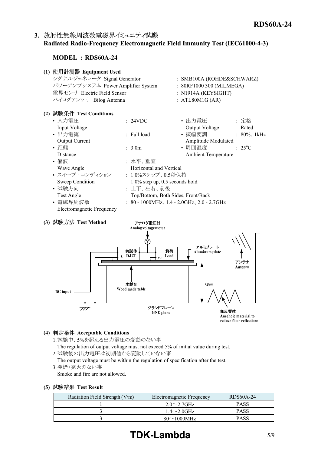#### 3. 放射性無線周波数電磁界イミュニティ試験 **Radiated RadioFrequency Electromagnetic Field Immunity Test (IEC6100043)**

#### **MODEL : RDS60A-24**



無反響体 Anechoic material to reduce floor reflections

#### **(4) Acceptable Conditions**

- 1.試験中、5%を超える出力電圧の変動のない事
- The regulation of output voltage must not exceed 5% of initial value during test. 2.試験後の出力電圧は初期値から変動していない事

The output voltage must be within the regulation of specification after the test.

3.発煙・発火のない事

Smoke and fire are not allowed.

#### **(5) Test Result**

| Radiation Field Strength (V/m) | Electromagnetic Frequency | RDS60A-24   |
|--------------------------------|---------------------------|-------------|
|                                | $2.0\sim2.7$ GHz          | <b>PASS</b> |
|                                | $1.4 \sim 2.0$ GHz        | <b>PASS</b> |
|                                | $80\sim1000$ MHz          | PASS        |

## **TDK-Lambda** 5/9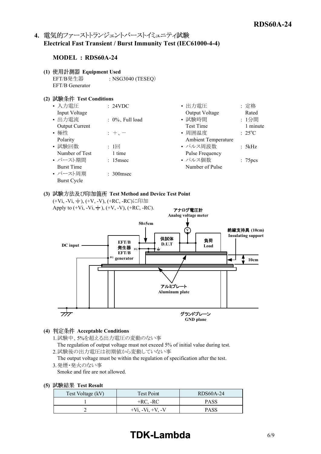#### 4. 電気的ファーストトランジェントバーストイミュニティ試験 **Electrical Fast Transient / Burst Immunity Test (IEC6100044)**

#### **MODEL : RDS60A-24**

**(1) Equipment Used** EFT/B発生器 : NSG3040 (TESEQ) EFT/B Generator

#### **(2) Test Conditions**

| : 24VDC             | • 出力電圧                     | : 定格                 |
|---------------------|----------------------------|----------------------|
|                     | Output Voltage             | Rated                |
| $: 0\%$ , Full load | • 試験時間                     | : 1分間                |
|                     | <b>Test Time</b>           | 1 minute             |
| $+$ , $-$           | • 周囲温度                     | $: 25^{\circ}C$      |
|                     | <b>Ambient Temperature</b> |                      |
| : $1 \Box$          | • パルス周波数                   | : 5kHz               |
| 1 time              | Pulse Frequency            |                      |
| $: 15$ msec         | • パルス個数                    | : 75 <sub>pres</sub> |
|                     | Number of Pulse            |                      |
| $: 300$ msec        |                            |                      |
|                     |                            |                      |
|                     |                            |                      |

#### **(3) Test Method and Device Test Point**



**(4) Acceptable Conditions**

1.試験中、5%を超える出力電圧の変動のない事

The regulation of output voltage must not exceed 5% of initial value during test. 2.試験後の出力電圧は初期値から変動していない事

The output voltage must be within the regulation of specification after the test.

3.発煙・発火のない事

Smoke and fire are not allowed.

|  |  | (5) 試験結果 Test Result |  |
|--|--|----------------------|--|
|--|--|----------------------|--|

| Test Voltage (kV) | Test Point          | RDS60A-24   |
|-------------------|---------------------|-------------|
|                   | $+RC, -RC$          | <b>PASS</b> |
|                   | $+Vi. -Vi. + V. -V$ | <b>PASS</b> |

### **TDK-Lambda** 6/9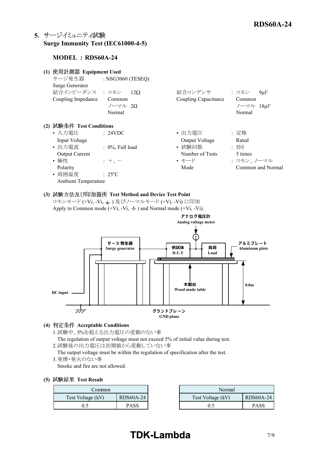#### **5.** サージイミュニティ試験 **Surge Immunity Test (IEC61000-4-5)**

#### **MODEL : RDS60A-24**

| (1) 使用計測器 Equipment Used                                                                                                                    |                                                              |                                                                        |                                                                    |
|---------------------------------------------------------------------------------------------------------------------------------------------|--------------------------------------------------------------|------------------------------------------------------------------------|--------------------------------------------------------------------|
| サージ発生器                                                                                                                                      | : NSG3060 (TESEQ)                                            |                                                                        |                                                                    |
| Surge Generator                                                                                                                             |                                                              |                                                                        |                                                                    |
| 結合インピーダンス : コモン                                                                                                                             | $12\Omega$                                                   | 結合コンデンサ                                                                | : コモン<br>$9\mu F$                                                  |
| Coupling Impedance                                                                                                                          | Common                                                       | Coupling Capacitance                                                   | Common                                                             |
|                                                                                                                                             | ノーマル 2Ω                                                      |                                                                        | ノーマル 18µF                                                          |
|                                                                                                                                             | Normal                                                       |                                                                        | Normal                                                             |
| (2) 試験条件 Test Conditions<br>• 入力電圧<br>Input Voltage<br>• 出力電流<br>Output Current<br>• 極性<br>Polarity<br>• 周囲温度<br><b>Ambient Temperature</b> | : 24VDC<br>$: 0\%$ , Full load<br>$: + -$<br>$: 25^{\circ}C$ | • 出力電圧<br>Output Voltage<br>• 試験回数<br>Number of Tests<br>• モード<br>Mode | : 定格<br>Rated<br>:5回<br>5 times<br>: コモン、ノーマル<br>Common and Normal |

#### **(3) Test Method and Device Test Point**

コモンモード (+Vi, -Vi, -i) 及びノーマルモード (+Vi, -Vi) に印加 Apply to Common mode  $(+Vi, -Vi, \underline{\text{ }+})$  and Normal mode  $(+Vi, -Vi)$ .



#### **(4) Acceptable Conditions**

- 1.試験中、5%を超える出力電圧の変動のない事
- The regulation of output voltage must not exceed 5% of initial value during test.
- 2.試験後の出力電圧は初期値から変動していない事

The output voltage must be within the regulation of specification after the test. 3.発煙・発火のない事

Smoke and fire are not allowed.

#### **(5) Test Result**

| Common:           |             | Normal            |
|-------------------|-------------|-------------------|
| Test Voltage (kV) | RDS60A-24   | Test Voltage (kV) |
|                   | <b>PASS</b> |                   |

| ommon_            |                  | Normal            |             |
|-------------------|------------------|-------------------|-------------|
| Test Voltage (kV) | <b>RDS60A-24</b> | Test Voltage (kV) | RDS60A-24   |
| 0.5               | PASS             |                   | <b>PASS</b> |

## **TDK-Lambda** 7/9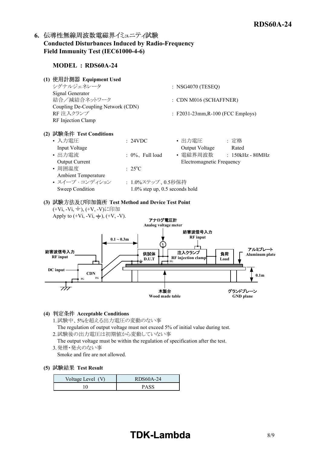#### 6. 伝導性無線周波数電磁界イミュニティ試験 **Conducted Disturbances Induced by RadioFrequency** Field Immunity Test (IEC61000-4-6)

#### **MODEL : RDS60A-24**

**(1) Equipment Used**

| シグナルジェネレータ                         | $:$ NSG4070 (TESEO)                          |
|------------------------------------|----------------------------------------------|
| Signal Generator                   |                                              |
| 結合/減結合ネットワーク                       | $:$ CDN M016 (SCHAFFNER)                     |
| Coupling De-Coupling Network (CDN) |                                              |
| RF 注入クランプ                          | $\therefore$ F2031-23mm, R-100 (FCC Employs) |
| RF Injection Clamp                 |                                              |

**(2) Test Conditions**

| • 入力電圧                     | : 24VDC                           | • 出力電圧                    | :定格              |
|----------------------------|-----------------------------------|---------------------------|------------------|
| Input Voltage              |                                   | Output Voltage            | Rated            |
| • 出力電流                     | $: 0\%$ , Full load               | • 電磁界周波数                  | : 150kHz - 80MHz |
| <b>Output Current</b>      |                                   | Electromagnetic Frequency |                  |
| • 周囲温度                     | $\div$ 2.5°C                      |                           |                  |
| <b>Ambient Temperature</b> |                                   |                           |                  |
| • スイープ・コンディション             | : 1.0%ステップ、0.5秒保持                 |                           |                  |
| Sweep Condition            | $1.0\%$ step up, 0.5 seconds hold |                           |                  |

#### **(3) Test Method and Device Test Point** (+Vi, -Vi, <sup>±</sup>), (+V, -V)に印加

Apply to  $(+Vi, -Vi, \frac{1}{2})$ ,  $(+V, -V)$ .



#### **(4) Acceptable Conditions**

- 1.試験中、5%を超える出力電圧の変動のない事
- The regulation of output voltage must not exceed 5% of initial value during test.
- 2.試験後の出力電圧は初期値から変動していない事
- The output voltage must be within the regulation of specification after the test.
- 3.発煙・発火のない事
	- Smoke and fire are not allowed.

#### **(5) Test Result**

| Voltage Level (V) | RDS60A-24   |
|-------------------|-------------|
|                   | <b>PASS</b> |

## **TDK-Lambda**